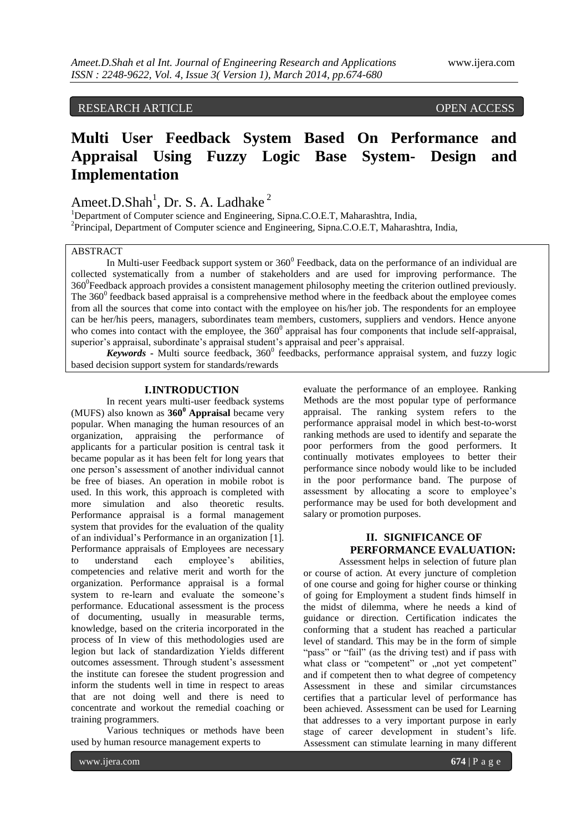# RESEARCH ARTICLE **CONSERVERS**

# **Multi User Feedback System Based On Performance and Appraisal Using Fuzzy Logic Base System- Design and Implementation**

# Ameet.D.Shah<sup>1</sup>, Dr. S. A. Ladhake<sup>2</sup>

<sup>1</sup>Department of Computer science and Engineering, Sipna.C.O.E.T, Maharashtra, India, <sup>2</sup>Principal, Department of Computer science and Engineering, Sipna.C.O.E.T, Maharashtra, India,

# ABSTRACT

In Multi-user Feedback support system or  $360^0$  Feedback, data on the performance of an individual are collected systematically from a number of stakeholders and are used for improving performance. The 360<sup>0</sup>Feedback approach provides a consistent management philosophy meeting the criterion outlined previously. The  $360^{\circ}$  feedback based appraisal is a comprehensive method where in the feedback about the employee comes from all the sources that come into contact with the employee on his/her job. The respondents for an employee can be her/his peers, managers, subordinates team members, customers, suppliers and vendors. Hence anyone who comes into contact with the employee, the  $360^{\circ}$  appraisal has four components that include self-appraisal, superior's appraisal, subordinate's appraisal student's appraisal and peer's appraisal.

Keywords - Multi source feedback, 360<sup>0</sup> feedbacks, performance appraisal system, and fuzzy logic based decision support system for standards/rewards

# **I.INTRODUCTION**

In recent years multi-user feedback systems (MUFS) also known as **360<sup>0</sup> Appraisal** became very popular. When managing the human resources of an organization, appraising the performance of applicants for a particular position is central task it became popular as it has been felt for long years that one person's assessment of another individual cannot be free of biases. An operation in mobile robot is used. In this work, this approach is completed with more simulation and also theoretic results. Performance appraisal is a formal management system that provides for the evaluation of the quality of an individual's Performance in an organization [1]. Performance appraisals of Employees are necessary to understand each employee's abilities, competencies and relative merit and worth for the organization. Performance appraisal is a formal system to re-learn and evaluate the someone's performance. Educational assessment is the process of documenting, usually in measurable terms, knowledge, based on the criteria incorporated in the process of In view of this methodologies used are legion but lack of standardization Yields different outcomes assessment. Through student's assessment the institute can foresee the student progression and inform the students well in time in respect to areas that are not doing well and there is need to concentrate and workout the remedial coaching or training programmers.

Various techniques or methods have been used by human resource management experts to

evaluate the performance of an employee. Ranking Methods are the most popular type of performance appraisal. The ranking system refers to the performance appraisal model in which best-to-worst ranking methods are used to identify and separate the poor performers from the good performers. It continually motivates employees to better their performance since nobody would like to be included in the poor performance band. The purpose of assessment by allocating a score to employee's performance may be used for both development and salary or promotion purposes.

# **II. SIGNIFICANCE OF PERFORMANCE EVALUATION:**

Assessment helps in selection of future plan or course of action. At every juncture of completion of one course and going for higher course or thinking of going for Employment a student finds himself in the midst of dilemma, where he needs a kind of guidance or direction. Certification indicates the conforming that a student has reached a particular level of standard. This may be in the form of simple "pass" or "fail" (as the driving test) and if pass with what class or "competent" or "not yet competent" and if competent then to what degree of competency Assessment in these and similar circumstances certifies that a particular level of performance has been achieved. Assessment can be used for Learning that addresses to a very important purpose in early stage of career development in student's life. Assessment can stimulate learning in many different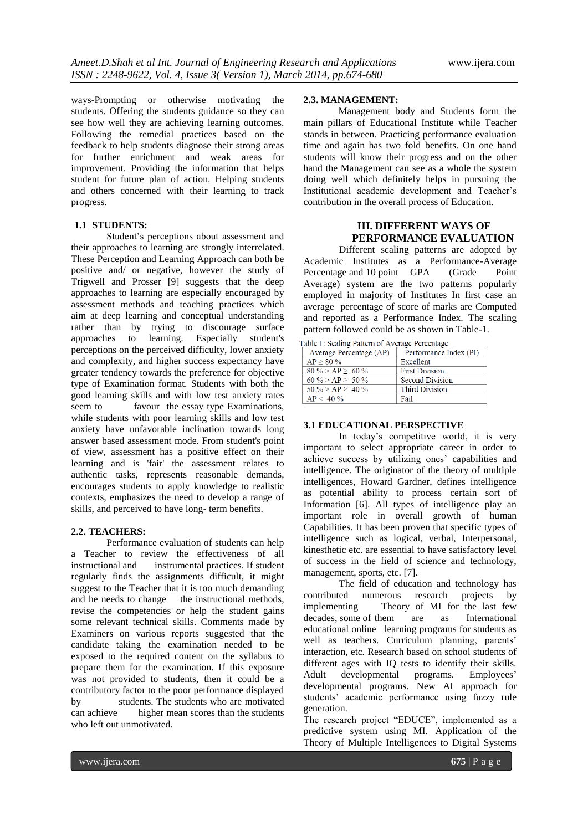ways-Prompting or otherwise motivating the students. Offering the students guidance so they can see how well they are achieving learning outcomes. Following the remedial practices based on the feedback to help students diagnose their strong areas for further enrichment and weak areas for improvement. Providing the information that helps student for future plan of action. Helping students and others concerned with their learning to track progress.

# **1.1 STUDENTS:**

Student's perceptions about assessment and their approaches to learning are strongly interrelated. These Perception and Learning Approach can both be positive and/ or negative, however the study of Trigwell and Prosser [9] suggests that the deep approaches to learning are especially encouraged by assessment methods and teaching practices which aim at deep learning and conceptual understanding rather than by trying to discourage surface approaches to learning. Especially student's perceptions on the perceived difficulty, lower anxiety and complexity, and higher success expectancy have greater tendency towards the preference for objective type of Examination format. Students with both the good learning skills and with low test anxiety rates seem to favour the essay type Examinations, while students with poor learning skills and low test anxiety have unfavorable inclination towards long answer based assessment mode. From student's point of view, assessment has a positive effect on their learning and is 'fair' the assessment relates to authentic tasks, represents reasonable demands, encourages students to apply knowledge to realistic contexts, emphasizes the need to develop a range of skills, and perceived to have long- term benefits.

#### **2.2. TEACHERS:**

Performance evaluation of students can help a Teacher to review the effectiveness of all instructional and instrumental practices. If student regularly finds the assignments difficult, it might suggest to the Teacher that it is too much demanding and he needs to change the instructional methods, revise the competencies or help the student gains some relevant technical skills. Comments made by Examiners on various reports suggested that the candidate taking the examination needed to be exposed to the required content on the syllabus to prepare them for the examination. If this exposure was not provided to students, then it could be a contributory factor to the poor performance displayed by students. The students who are motivated can achieve higher mean scores than the students who left out unmotivated.

# **2.3. MANAGEMENT:**

Management body and Students form the main pillars of Educational Institute while Teacher stands in between. Practicing performance evaluation time and again has two fold benefits. On one hand students will know their progress and on the other hand the Management can see as a whole the system doing well which definitely helps in pursuing the Institutional academic development and Teacher's contribution in the overall process of Education.

# **III. DIFFERENT WAYS OF PERFORMANCE EVALUATION**

Different scaling patterns are adopted by Academic Institutes as a Performance-Average Percentage and 10 point GPA (Grade Point Average) system are the two patterns popularly employed in majority of Institutes In first case an average percentage of score of marks are Computed and reported as a Performance Index. The scaling pattern followed could be as shown in Table-1.

Table 1: Scaling Pattern of Average Percentage

| Average Percentage (AP) | Performance Index (PI) |
|-------------------------|------------------------|
| $AP > 80\%$             | Excellent              |
| $80\% > AP > 60\%$      | <b>First Division</b>  |
| $60\% > AP > 50\%$      | <b>Second Division</b> |
| $50\% > AP \geq 40\%$   | <b>Third Division</b>  |
| $AP < 40\%$             | Fail                   |

# **3.1 EDUCATIONAL PERSPECTIVE**

In today's competitive world, it is very important to select appropriate career in order to achieve success by utilizing ones' capabilities and intelligence. The originator of the theory of multiple intelligences, Howard Gardner, defines intelligence as potential ability to process certain sort of Information [6]. All types of intelligence play an important role in overall growth of human Capabilities. It has been proven that specific types of intelligence such as logical, verbal, Interpersonal, kinesthetic etc. are essential to have satisfactory level of success in the field of science and technology, management, sports, etc. [7].

The field of education and technology has contributed numerous research projects by implementing Theory of MI for the last few decades, some of them are as International educational online learning programs for students as well as teachers. Curriculum planning, parents' interaction, etc. Research based on school students of different ages with IQ tests to identify their skills. Adult developmental programs. Employees' developmental programs. New AI approach for students' academic performance using fuzzy rule generation.

The research project "EDUCE", implemented as a predictive system using MI. Application of the Theory of Multiple Intelligences to Digital Systems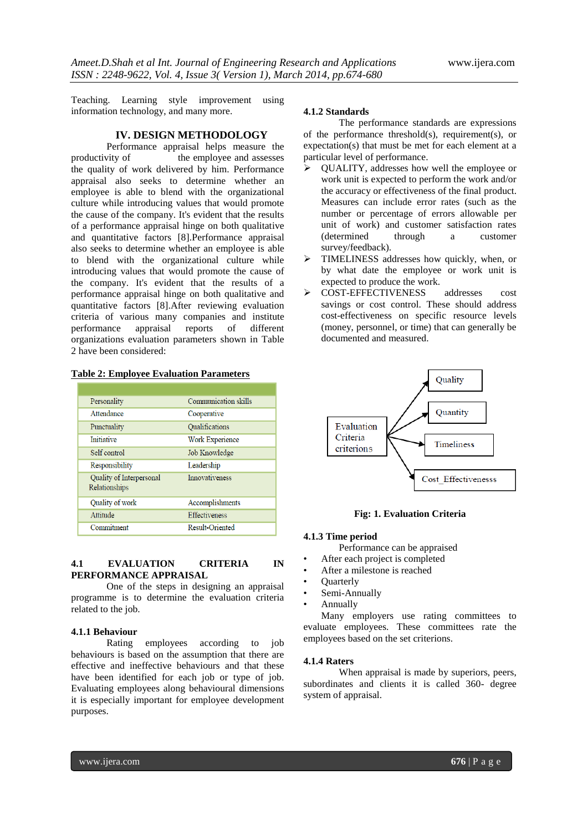Teaching. Learning style improvement using information technology, and many more.

# **IV. DESIGN METHODOLOGY**

Performance appraisal helps measure the productivity of the employee and assesses the employee and assesses the quality of work delivered by him. Performance appraisal also seeks to determine whether an employee is able to blend with the organizational culture while introducing values that would promote the cause of the company. It's evident that the results of a performance appraisal hinge on both qualitative and quantitative factors [8].Performance appraisal also seeks to determine whether an employee is able to blend with the organizational culture while introducing values that would promote the cause of the company. It's evident that the results of a performance appraisal hinge on both qualitative and quantitative factors [8].After reviewing evaluation criteria of various many companies and institute appraisal reports of organizations evaluation parameters shown in Table 2 have been considered:

| Personality                               | Communication skills   |
|-------------------------------------------|------------------------|
| Attendance                                | Cooperative            |
| Punctuality                               | Qualifications         |
| <b>Initiative</b>                         | <b>Work Experience</b> |
| Self control                              | Job Knowledge          |
| Responsibility                            | Leadership             |
| Quality of Interpersonal<br>Relationships | Innovativeness         |
| Quality of work                           | Accomplishments        |
| Attitude                                  | <b>Effectiveness</b>   |
| Commitment                                | <b>Result-Oriented</b> |

# **Table 2: Employee Evaluation Parameters**

#### **4.1 EVALUATION CRITERIA IN PERFORMANCE APPRAISAL**

One of the steps in designing an appraisal programme is to determine the evaluation criteria related to the job.

# **4.1.1 Behaviour**

Rating employees according to job behaviours is based on the assumption that there are effective and ineffective behaviours and that these have been identified for each job or type of job. Evaluating employees along behavioural dimensions it is especially important for employee development purposes.

#### **4.1.2 Standards**

The performance standards are expressions of the performance threshold(s), requirement(s), or expectation(s) that must be met for each element at a particular level of performance.

- $\triangleright$  QUALITY, addresses how well the employee or work unit is expected to perform the work and/or the accuracy or effectiveness of the final product. Measures can include error rates (such as the number or percentage of errors allowable per unit of work) and customer satisfaction rates (determined through a customer survey/feedback).
- TIMELINESS addresses how quickly, when, or by what date the employee or work unit is expected to produce the work.
- COST-EFFECTIVENESS addresses cost savings or cost control. These should address cost-effectiveness on specific resource levels (money, personnel, or time) that can generally be documented and measured.



# **Fig: 1. Evaluation Criteria**

#### **4.1.3 Time period**

Performance can be appraised

- After each project is completed
- After a milestone is reached
- Quarterly
- Semi-Annually
- Annually

Many employers use rating committees to evaluate employees. These committees rate the employees based on the set criterions.

#### **4.1.4 Raters**

When appraisal is made by superiors, peers, subordinates and clients it is called 360- degree system of appraisal.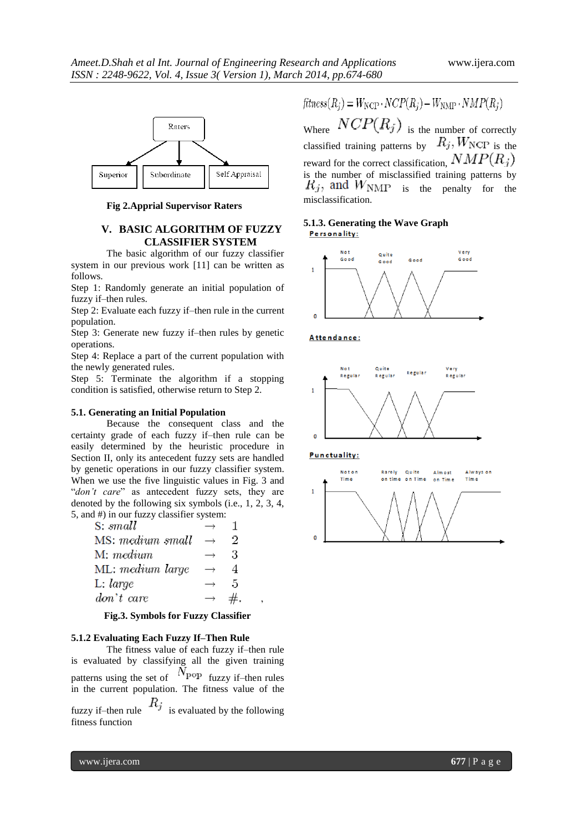

**Fig 2.Apprial Supervisor Raters**

#### **V. BASIC ALGORITHM OF FUZZY CLASSIFIER SYSTEM**

The basic algorithm of our fuzzy classifier system in our previous work [11] can be written as follows.

Step 1: Randomly generate an initial population of fuzzy if–then rules.

Step 2: Evaluate each fuzzy if–then rule in the current population.

Step 3: Generate new fuzzy if–then rules by genetic operations.

Step 4: Replace a part of the current population with the newly generated rules.

Step 5: Terminate the algorithm if a stopping condition is satisfied, otherwise return to Step 2.

#### **5.1. Generating an Initial Population**

Because the consequent class and the certainty grade of each fuzzy if–then rule can be easily determined by the heuristic procedure in Section II, only its antecedent fuzzy sets are handled by genetic operations in our fuzzy classifier system. When we use the five linguistic values in Fig. 3 and "*don't care*" as antecedent fuzzy sets, they are denoted by the following six symbols (i.e., 1, 2, 3, 4, 5, and #) in our fuzzy classifier system:

| S: small         |                   |   |
|------------------|-------------------|---|
| MS: medium small | $\rightarrow$     | 2 |
| M: medium        |                   | 3 |
| ML: medium large | $\rightarrow$     |   |
| L: large         | $\longrightarrow$ | 5 |
| don't care       | $\rightarrow$     |   |

#### **Fig.3. Symbols for Fuzzy Classifier**

'

#### **5.1.2 Evaluating Each Fuzzy If–Then Rule**

The fitness value of each fuzzy if–then rule is evaluated by classifying all the given training patterns using the set of  $N_{\text{pop}}$  fuzzy if–then rules in the current population. The fitness value of the fuzzy if–then rule  $R_j$  is evaluated by the following

fitness function

 $fitness(R_i) = W_{\text{NCP}} \cdot NCP(R_i) - W_{\text{NMP}} \cdot NMP(R_i)$ 

Where  $NCP(R_j)$  is the number of correctly classified training patterns by  $R_j$ ,  $W_{\text{NCP}}$  is the reward for the correct classification,  $NMP(R_j)$ is the number of misclassified training patterns by  $R_j$ , and  $W_{\text{NMP}}$  is the penalty for the misclassification.

# **5.1.3. Generating the Wave Graph**







**Punctuality:** 

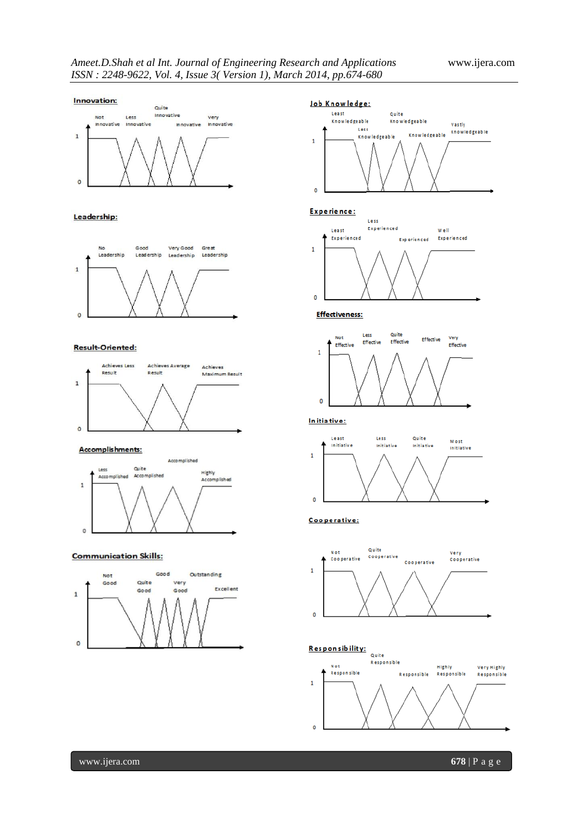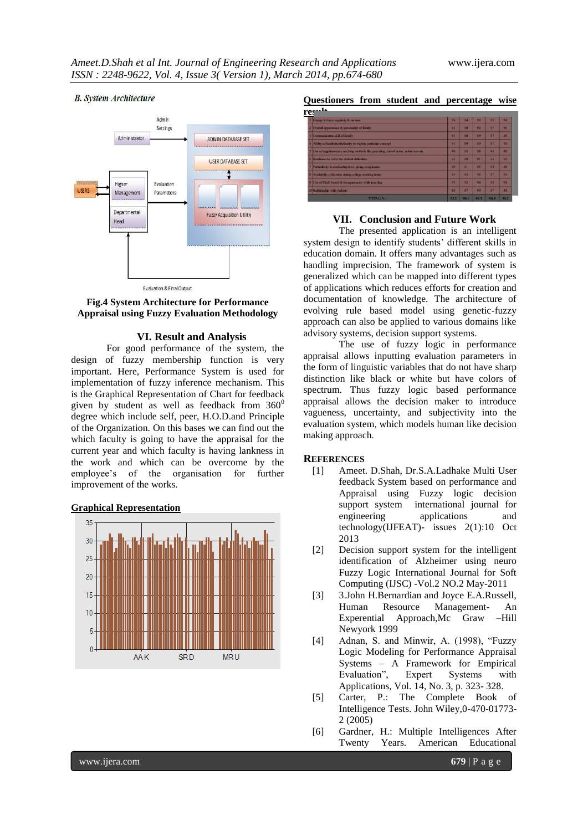#### **B.** System Architecture





#### **VI. Result and Analysis**

For good performance of the system, the design of fuzzy membership function is very important. Here, Performance System is used for implementation of fuzzy inference mechanism. This is the Graphical Representation of Chart for feedback given by student as well as feedback from  $360^0$ degree which include self, peer, H.O.D.and Principle of the Organization. On this bases we can find out the which faculty is going to have the appraisal for the current year and which faculty is having lankness in the work and which can be overcome by the employee's of the organisation for further improvement of the works.





# **Questioners from student and percentage wise**

| re: | 14                                                                                    |                |      |      |      |                 |
|-----|---------------------------------------------------------------------------------------|----------------|------|------|------|-----------------|
|     | 1 Engage lectures regularly & on time                                                 | 96             | 94   | 93   | 99   | 94              |
|     | 2 Overall appearence & personality of faculty                                         | Q1             | 90   | 92   | 97   | 90 <sub>0</sub> |
|     | 3 Communication skill of faculty                                                      | 91             | 90   | 89   | 97   | 89              |
|     | 4 Ability of facultyfacultyfaculty to explain particular concept                      | 93             | 89   | 89   | 97   | 89              |
|     | 5 Use of supplementary teaching methods like providing printed notes, references etc. | 90             | 83   | 88   | 96   | 88              |
|     | 6 Readiness to solve the student difficulties.                                        | Q <sub>2</sub> | 89   | 91   | 96   | 92              |
|     | 7 Particularity in conducting tests, giving assignments                               | 90             | 91   | 85   | 94   | $R\overline{R}$ |
|     | 8 Availability of lecturer during college working hours                               | 95             | 95   | 92   | 97   | 93              |
|     | 9 Use of black board & transparencies while teaching                                  | 95             | 93   | 94   | 98   | 91              |
|     | 10 Relationship with students                                                         | 88             | 87   | 90   | 97   | 88              |
|     | TOTAL(%)                                                                              | 92.2           | 90.1 | 90.3 | 96.8 | 90.2            |

#### **VII. Conclusion and Future Work**

The presented application is an intelligent system design to identify students' different skills in education domain. It offers many advantages such as handling imprecision. The framework of system is generalized which can be mapped into different types of applications which reduces efforts for creation and documentation of knowledge. The architecture of evolving rule based model using genetic-fuzzy approach can also be applied to various domains like advisory systems, decision support systems.

The use of fuzzy logic in performance appraisal allows inputting evaluation parameters in the form of linguistic variables that do not have sharp distinction like black or white but have colors of spectrum. Thus fuzzy logic based performance appraisal allows the decision maker to introduce vagueness, uncertainty, and subjectivity into the evaluation system, which models human like decision making approach.

#### **REFERENCES**

- [1] Ameet. D.Shah, Dr.S.A.Ladhake Multi User feedback System based on performance and Appraisal using Fuzzy logic decision support system international journal for engineering applications and technology(IJFEAT)- issues 2(1):10 Oct 2013
- [2] Decision support system for the intelligent identification of Alzheimer using neuro Fuzzy Logic International Journal for Soft Computing (IJSC) -Vol.2 NO.2 May-2011
- [3] 3.John H.Bernardian and Joyce E.A.Russell, Human Resource Management- An Experential Approach,Mc Graw –Hill Newyork 1999
- [4] Adnan, S. and Minwir, A. (1998), "Fuzzy Logic Modeling for Performance Appraisal Systems – A Framework for Empirical Evaluation", Expert Systems with Applications, Vol. 14, No. 3, p. 323- 328.
- [5] Carter, P.: The Complete Book of Intelligence Tests. John Wiley,0-470-01773- 2 (2005)
- [6] Gardner, H.: Multiple Intelligences After Twenty Years. American Educational